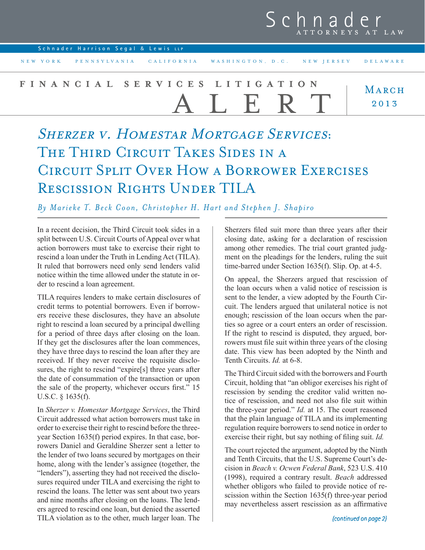## Schnader

| NEW YORK PENNSYLVANIA CALIFORNIA WASHINGTON, D.C. NEW JERSEY<br>DELAWARE |  |
|--------------------------------------------------------------------------|--|
|                                                                          |  |
| FINANCIAL SERVICES LITIGATION<br>MARCH<br>ALERT<br>2013                  |  |

SHERZER V. HOMESTAR MORTGAGE SERVICES: THE THIRD CIRCUIT TAKES SIDES IN A Circuit Split Over How a Borrower Exercises Rescission Rights Under TILA

*By Marieke T. Beck Coon, Christopher H. Hart and Stephen J. Shapiro*

In a recent decision, the Third Circuit took sides in a split between U.S. Circuit Courts of Appeal over what action borrowers must take to exercise their right to rescind a loan under the Truth in Lending Act (TILA). It ruled that borrowers need only send lenders valid notice within the time allowed under the statute in order to rescind a loan agreement.

TILA requires lenders to make certain disclosures of credit terms to potential borrowers. Even if borrowers receive these disclosures, they have an absolute right to rescind a loan secured by a principal dwelling for a period of three days after closing on the loan. If they get the disclosures after the loan commences, they have three days to rescind the loan after they are received. If they never receive the requisite disclosures, the right to rescind "expire[s] three years after the date of consummation of the transaction or upon the sale of the property, whichever occurs first." 15 U.S.C. § 1635(f).

In *Sherzer v. Homestar Mortgage Services*, the Third Circuit addressed what action borrowers must take in order to exercise their right to rescind before the threeyear Section 1635(f) period expires. In that case, borrowers Daniel and Geraldine Sherzer sent a letter to the lender of two loans secured by mortgages on their home, along with the lender's assignee (together, the "lenders"), asserting they had not received the disclosures required under TILA and exercising the right to rescind the loans. The letter was sent about two years and nine months after closing on the loans. The lenders agreed to rescind one loan, but denied the asserted TILA violation as to the other, much larger loan. The

Sherzers filed suit more than three years after their closing date, asking for a declaration of rescission among other remedies. The trial court granted judgment on the pleadings for the lenders, ruling the suit time-barred under Section 1635(f). Slip. Op. at 4-5.

On appeal, the Sherzers argued that rescission of the loan occurs when a valid notice of rescission is sent to the lender, a view adopted by the Fourth Circuit. The lenders argued that unilateral notice is not enough; rescission of the loan occurs when the parties so agree or a court enters an order of rescission. If the right to rescind is disputed, they argued, borrowers must file suit within three years of the closing date. This view has been adopted by the Ninth and Tenth Circuits. *Id.* at 6-8.

The Third Circuit sided with the borrowers and Fourth Circuit, holding that "an obligor exercises his right of rescission by sending the creditor valid written notice of rescission, and need not also file suit within the three-year period." *Id.* at 15. The court reasoned that the plain language of TILA and its implementing regulation require borrowers to send notice in order to exercise their right, but say nothing of filing suit. *Id.*

The court rejected the argument, adopted by the Ninth and Tenth Circuits, that the U.S. Supreme Court's decision in *Beach v. Ocwen Federal Bank*, 523 U.S. 410 (1998), required a contrary result. *Beach* addressed whether obligors who failed to provide notice of rescission within the Section 1635(f) three-year period may nevertheless assert rescission as an affirmative